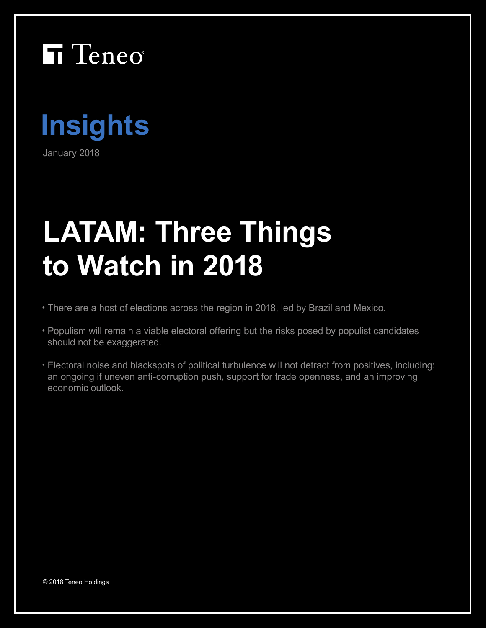



January 2018

# **LATAM: Three Things to Watch in 2018**

- There are a host of elections across the region in 2018, led by Brazil and Mexico.
- Populism will remain a viable electoral offering but the risks posed by populist candidates should not be exaggerated.
- Electoral noise and blackspots of political turbulence will not detract from positives, including: an ongoing if uneven anti-corruption push, support for trade openness, and an improving economic outlook.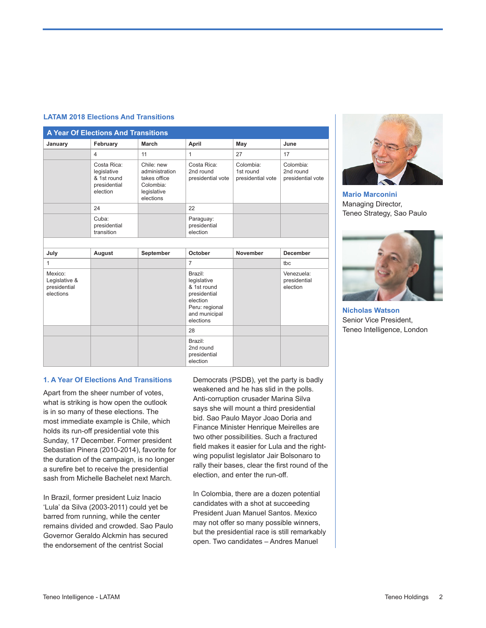#### **LATAM 2018 Elections And Transitions**

| <b>A Year Of Elections And Transitions</b>            |                                                                       |                                                                                       |                                                                                                                   |                                             |                                             |
|-------------------------------------------------------|-----------------------------------------------------------------------|---------------------------------------------------------------------------------------|-------------------------------------------------------------------------------------------------------------------|---------------------------------------------|---------------------------------------------|
| January                                               | February                                                              | March                                                                                 | April                                                                                                             | May                                         | June                                        |
|                                                       | $\overline{4}$                                                        | 11                                                                                    | 1                                                                                                                 | 27                                          | 17                                          |
|                                                       | Costa Rica:<br>legislative<br>& 1st round<br>presidential<br>election | Chile: new<br>administration<br>takes office<br>Colombia:<br>legislative<br>elections | Costa Rica:<br>2nd round<br>presidential vote                                                                     | Colombia:<br>1st round<br>presidential vote | Colombia:<br>2nd round<br>presidential vote |
|                                                       | 24                                                                    |                                                                                       | 22                                                                                                                |                                             |                                             |
|                                                       | Cuba:<br>presidential<br>transition                                   |                                                                                       | Paraguay:<br>presidential<br>election                                                                             |                                             |                                             |
|                                                       |                                                                       |                                                                                       |                                                                                                                   |                                             |                                             |
| July                                                  | August                                                                | September                                                                             | October                                                                                                           | November                                    | <b>December</b>                             |
| $\mathbf{1}$                                          |                                                                       |                                                                                       | $\overline{7}$                                                                                                    |                                             | tbc                                         |
| Mexico:<br>Legislative &<br>presidential<br>elections |                                                                       |                                                                                       | Brazil:<br>legislative<br>& 1st round<br>presidential<br>election<br>Peru: regional<br>and municipal<br>elections |                                             | Venezuela:<br>presidential<br>election      |
|                                                       |                                                                       |                                                                                       | 28                                                                                                                |                                             |                                             |
|                                                       |                                                                       |                                                                                       | Brazil:<br>2nd round<br>presidential<br>election                                                                  |                                             |                                             |

**Mario Marconini** Managing Director, Teneo Strategy, Sao Paulo



**Nicholas Watson** Senior Vice President, Teneo Intelligence, London

### **1. A Year Of Elections And Transitions**

Apart from the sheer number of votes, what is striking is how open the outlook is in so many of these elections. The most immediate example is Chile, which holds its run-off presidential vote this Sunday, 17 December. Former president Sebastian Pinera (2010-2014), favorite for the duration of the campaign, is no longer a surefire bet to receive the presidential sash from Michelle Bachelet next March.

In Brazil, former president Luiz Inacio 'Lula' da Silva (2003-2011) could yet be barred from running, while the center remains divided and crowded. Sao Paulo Governor Geraldo Alckmin has secured the endorsement of the centrist Social

Democrats (PSDB), yet the party is badly weakened and he has slid in the polls. Anti-corruption crusader Marina Silva says she will mount a third presidential bid. Sao Paulo Mayor Joao Doria and Finance Minister Henrique Meirelles are two other possibilities. Such a fractured field makes it easier for Lula and the rightwing populist legislator Jair Bolsonaro to rally their bases, clear the first round of the election, and enter the run-off.

In Colombia, there are a dozen potential candidates with a shot at succeeding President Juan Manuel Santos. Mexico may not offer so many possible winners, but the presidential race is still remarkably open. Two candidates – Andres Manuel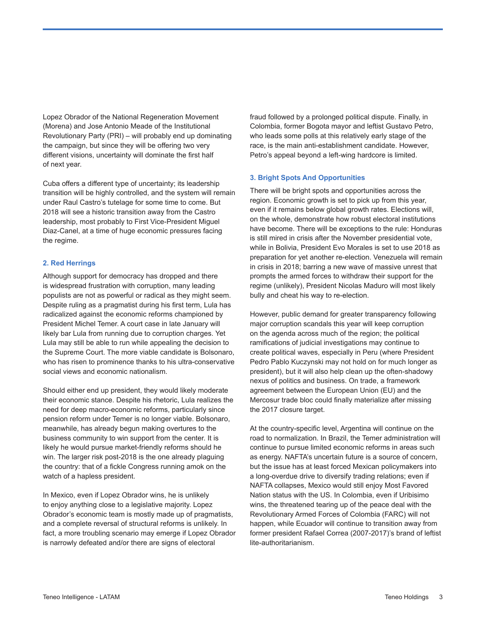Lopez Obrador of the National Regeneration Movement (Morena) and Jose Antonio Meade of the Institutional Revolutionary Party (PRI) – will probably end up dominating the campaign, but since they will be offering two very different visions, uncertainty will dominate the first half of next year.

Cuba offers a different type of uncertainty; its leadership transition will be highly controlled, and the system will remain under Raul Castro's tutelage for some time to come. But 2018 will see a historic transition away from the Castro leadership, most probably to First Vice-President Miguel Diaz-Canel, at a time of huge economic pressures facing the regime.

#### **2. Red Herrings**

Although support for democracy has dropped and there is widespread frustration with corruption, many leading populists are not as powerful or radical as they might seem. Despite ruling as a pragmatist during his first term, Lula has radicalized against the economic reforms championed by President Michel Temer. A court case in late January will likely bar Lula from running due to corruption charges. Yet Lula may still be able to run while appealing the decision to the Supreme Court. The more viable candidate is Bolsonaro, who has risen to prominence thanks to his ultra-conservative social views and economic nationalism.

Should either end up president, they would likely moderate their economic stance. Despite his rhetoric, Lula realizes the need for deep macro-economic reforms, particularly since pension reform under Temer is no longer viable. Bolsonaro, meanwhile, has already begun making overtures to the business community to win support from the center. It is likely he would pursue market-friendly reforms should he win. The larger risk post-2018 is the one already plaguing the country: that of a fickle Congress running amok on the watch of a hapless president.

In Mexico, even if Lopez Obrador wins, he is unlikely to enjoy anything close to a legislative majority. Lopez Obrador's economic team is mostly made up of pragmatists, and a complete reversal of structural reforms is unlikely. In fact, a more troubling scenario may emerge if Lopez Obrador is narrowly defeated and/or there are signs of electoral

fraud followed by a prolonged political dispute. Finally, in Colombia, former Bogota mayor and leftist Gustavo Petro, who leads some polls at this relatively early stage of the race, is the main anti-establishment candidate. However, Petro's appeal beyond a left-wing hardcore is limited.

#### **3. Bright Spots And Opportunities**

There will be bright spots and opportunities across the region. Economic growth is set to pick up from this year, even if it remains below global growth rates. Elections will, on the whole, demonstrate how robust electoral institutions have become. There will be exceptions to the rule: Honduras is still mired in crisis after the November presidential vote, while in Bolivia, President Evo Morales is set to use 2018 as preparation for yet another re-election. Venezuela will remain in crisis in 2018; barring a new wave of massive unrest that prompts the armed forces to withdraw their support for the regime (unlikely), President Nicolas Maduro will most likely bully and cheat his way to re-election.

However, public demand for greater transparency following major corruption scandals this year will keep corruption on the agenda across much of the region; the political ramifications of judicial investigations may continue to create political waves, especially in Peru (where President Pedro Pablo Kuczynski may not hold on for much longer as president), but it will also help clean up the often-shadowy nexus of politics and business. On trade, a framework agreement between the European Union (EU) and the Mercosur trade bloc could finally materialize after missing the 2017 closure target.

At the country-specific level, Argentina will continue on the road to normalization. In Brazil, the Temer administration will continue to pursue limited economic reforms in areas such as energy. NAFTA's uncertain future is a source of concern, but the issue has at least forced Mexican policymakers into a long-overdue drive to diversify trading relations; even if NAFTA collapses, Mexico would still enjoy Most Favored Nation status with the US. In Colombia, even if Uribisimo wins, the threatened tearing up of the peace deal with the Revolutionary Armed Forces of Colombia (FARC) will not happen, while Ecuador will continue to transition away from former president Rafael Correa (2007-2017)'s brand of leftist lite-authoritarianism.